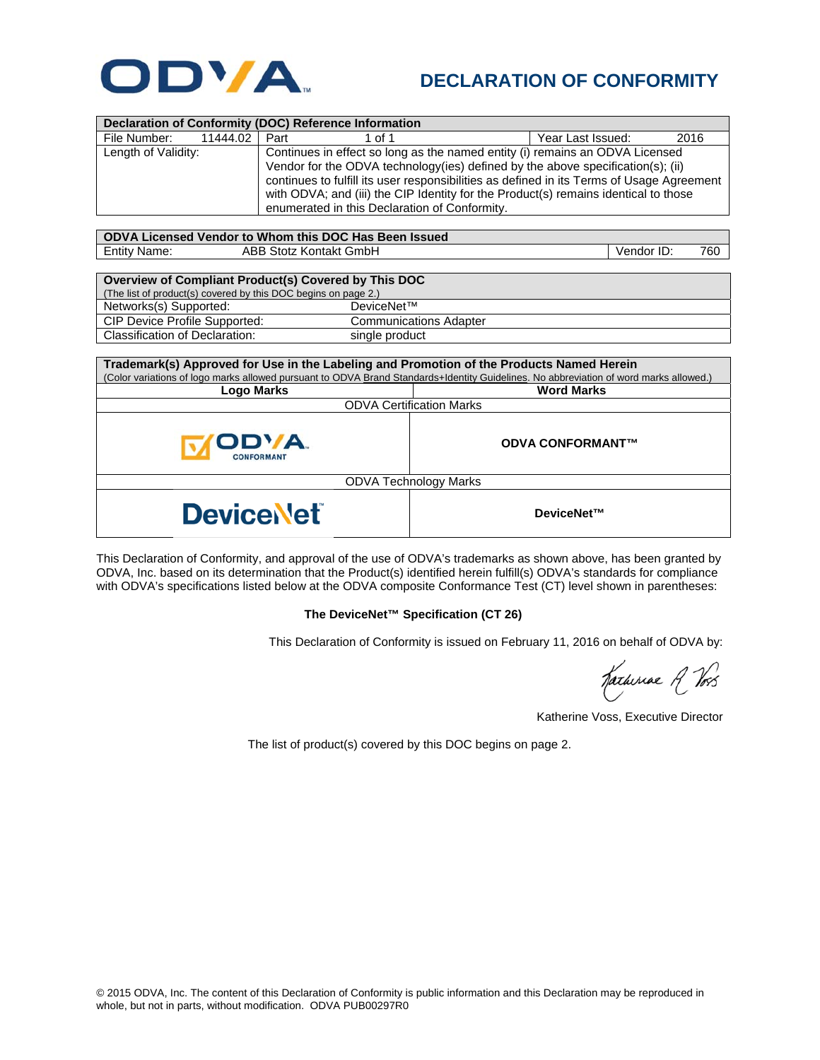

## **DECLARATION OF CONFORMITY**

| <b>Declaration of Conformity (DOC) Reference Information</b>                             |                                                                                           |                           |     |  |  |  |
|------------------------------------------------------------------------------------------|-------------------------------------------------------------------------------------------|---------------------------|-----|--|--|--|
| 11444.02<br>File Number:                                                                 | Part<br>1 of 1                                                                            | Year Last Issued:<br>2016 |     |  |  |  |
| Length of Validity:                                                                      | Continues in effect so long as the named entity (i) remains an ODVA Licensed              |                           |     |  |  |  |
|                                                                                          | Vendor for the ODVA technology(ies) defined by the above specification(s); (ii)           |                           |     |  |  |  |
|                                                                                          | continues to fulfill its user responsibilities as defined in its Terms of Usage Agreement |                           |     |  |  |  |
|                                                                                          | with ODVA; and (iii) the CIP Identity for the Product(s) remains identical to those       |                           |     |  |  |  |
|                                                                                          | enumerated in this Declaration of Conformity.                                             |                           |     |  |  |  |
|                                                                                          |                                                                                           |                           |     |  |  |  |
| ODVA Licensed Vendor to Whom this DOC Has Been Issued                                    |                                                                                           |                           |     |  |  |  |
| <b>Entity Name:</b>                                                                      | ABB Stotz Kontakt GmbH                                                                    | Vendor ID:                | 760 |  |  |  |
|                                                                                          |                                                                                           |                           |     |  |  |  |
|                                                                                          | Overview of Compliant Product(s) Covered by This DOC                                      |                           |     |  |  |  |
| The list of product(s) covered by this DOC begins on page 2.)                            |                                                                                           |                           |     |  |  |  |
| Networks(s) Supported:                                                                   | DeviceNet™                                                                                |                           |     |  |  |  |
| CIP Device Profile Supported:                                                            | <b>Communications Adapter</b>                                                             |                           |     |  |  |  |
| <b>Classification of Declaration:</b>                                                    | single product                                                                            |                           |     |  |  |  |
|                                                                                          |                                                                                           |                           |     |  |  |  |
| Trademark(s) Approved for Use in the Labeling and Promotion of the Products Named Herein |                                                                                           |                           |     |  |  |  |

| Trademark(s) Approved for Use in the Labeling and Promotion of the Products Named Herein<br>(Color variations of logo marks allowed pursuant to ODVA Brand Standards+Identity Guidelines. No abbreviation of word marks allowed.) |                         |  |  |  |
|-----------------------------------------------------------------------------------------------------------------------------------------------------------------------------------------------------------------------------------|-------------------------|--|--|--|
| Logo Marks                                                                                                                                                                                                                        | <b>Word Marks</b>       |  |  |  |
| <b>ODVA Certification Marks</b>                                                                                                                                                                                                   |                         |  |  |  |
| ODVA.<br><b>CONFORMANT</b>                                                                                                                                                                                                        | <b>ODVA CONFORMANT™</b> |  |  |  |
| <b>ODVA Technology Marks</b>                                                                                                                                                                                                      |                         |  |  |  |
| <b>DeviceNet</b>                                                                                                                                                                                                                  | DeviceNet™              |  |  |  |

This Declaration of Conformity, and approval of the use of ODVA's trademarks as shown above, has been granted by ODVA, Inc. based on its determination that the Product(s) identified herein fulfill(s) ODVA's standards for compliance with ODVA's specifications listed below at the ODVA composite Conformance Test (CT) level shown in parentheses:

## **The DeviceNet™ Specification (CT 26)**

This Declaration of Conformity is issued on February 11, 2016 on behalf of ODVA by:

Katheriae R Vos

Katherine Voss, Executive Director

The list of product(s) covered by this DOC begins on page 2.